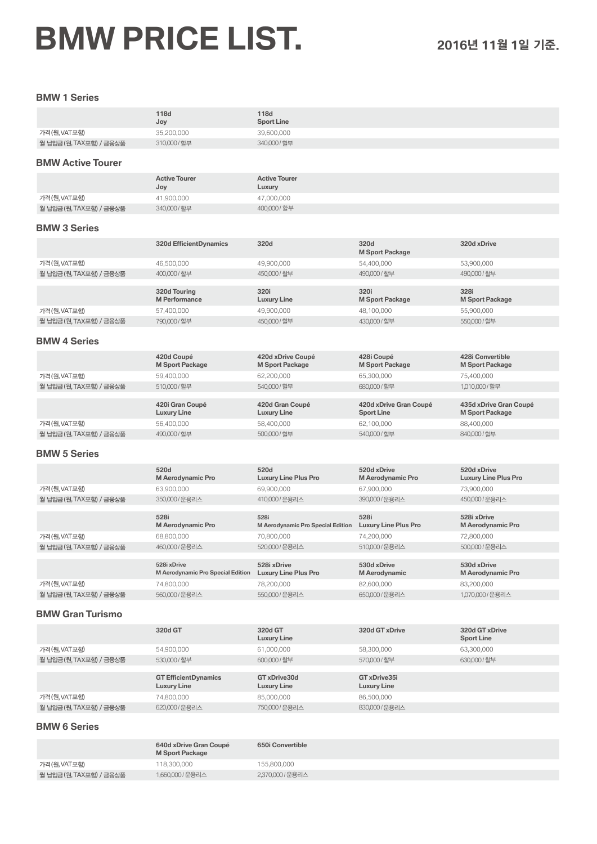# **BMW PRICE LIST. <sup>2016</sup>**년 **11**월 **1**일 기준.

가격(원,VAT포함) 118,300,000 118,300,000 155,800,000<br>월 납입금(원,TAX포함) / 금융상품 1,660,000 / 운용리스 2,370,000 / 운용리스

월 납입금(원, TAX포함) / 금융상품

### **BMW 1 Series**

|                                        | <b>118d</b>                                                           | <b>118d</b>                                 |                                             |                                                  |
|----------------------------------------|-----------------------------------------------------------------------|---------------------------------------------|---------------------------------------------|--------------------------------------------------|
|                                        | Joy                                                                   | <b>Sport Line</b><br>39,600,000             |                                             |                                                  |
| 가격(원, VAT포함)<br>월 납입금(원, TAX포함) / 금융상품 | 35,200,000<br>310,000/할부                                              | 340,000 / 할부                                |                                             |                                                  |
|                                        |                                                                       |                                             |                                             |                                                  |
| <b>BMW Active Tourer</b>               |                                                                       |                                             |                                             |                                                  |
|                                        | <b>Active Tourer</b><br>Joy                                           | <b>Active Tourer</b><br>Luxury              |                                             |                                                  |
| 가격(원, VAT포함)                           | 41,900,000                                                            | 47,000,000                                  |                                             |                                                  |
| 월 납입금 (원, TAX포함) / 금융상품                | 340,000 / 할부                                                          | 400,000 / 할부                                |                                             |                                                  |
| <b>BMW 3 Series</b>                    |                                                                       |                                             |                                             |                                                  |
|                                        | <b>320d EfficientDynamics</b>                                         | 320d                                        | 320d<br><b>M Sport Package</b>              | 320d xDrive                                      |
| 가격(원, VAT포함)                           | 46,500,000                                                            | 49,900,000                                  | 54,400,000                                  | 53,900,000                                       |
| 월 납입금(원, TAX포함) / 금융상품                 | 400,000 / 할부                                                          | 450,000 / 할부                                | 490,000 / 할부                                | 490,000 / 할부                                     |
|                                        | 320d Touring                                                          | 320i                                        | 320i                                        | 328i                                             |
|                                        | <b>M</b> Performance                                                  | <b>Luxury Line</b>                          | <b>M Sport Package</b>                      | <b>M Sport Package</b>                           |
| 가격(원, VAT포함)                           | 57,400,000                                                            | 49,900,000                                  | 48,100,000                                  | 55,900,000                                       |
| 월 납입금(원,TAX포함) / 금융상품                  | 790,000 / 할부                                                          | 450,000 / 할부                                | 430,000 / 할부                                | 550,000 / 할부                                     |
| <b>BMW 4 Series</b>                    |                                                                       |                                             |                                             |                                                  |
|                                        | 420d Coupé<br><b>M Sport Package</b>                                  | 420d xDrive Coupé<br><b>M Sport Package</b> | 428i Coupé<br><b>M Sport Package</b>        | 428i Convertible<br><b>M Sport Package</b>       |
| 가격(원, VAT포함)                           | 59,400,000                                                            | 62,200,000                                  | 65,300,000                                  | 75,400,000                                       |
| 월 납입금 (원, TAX포함) / 금융상품                | 510,000 / 할부                                                          | 540,000 / 할부                                | 680,000 / 할부                                | 1,010,000 / 할부                                   |
|                                        | 420i Gran Coupé<br><b>Luxury Line</b>                                 | 420d Gran Coupé<br><b>Luxury Line</b>       | 420d xDrive Gran Coupé<br><b>Sport Line</b> | 435d xDrive Gran Coupé<br><b>M Sport Package</b> |
| 가격(원, VAT포함)                           | 56,400,000                                                            | 58,400,000                                  | 62,100,000                                  | 88,400,000                                       |
| 월 납입금(원,TAX포함) / 금융상품                  | 490,000 / 할부                                                          | 500,000 / 할부                                | 540,000 / 할부                                | 840,000 / 할부                                     |
| <b>BMW 5 Series</b>                    |                                                                       |                                             |                                             |                                                  |
|                                        | 520d<br>M Aerodynamic Pro                                             | 520d<br><b>Luxury Line Plus Pro</b>         | 520d xDrive<br>M Aerodynamic Pro            | 520d xDrive<br><b>Luxury Line Plus Pro</b>       |
| 가격(원, VAT포함)                           | 63,900,000                                                            | 69,900,000                                  | 67,900,000                                  | 73,900,000                                       |
| 월 납입금(원,TAX포함) / 금융상품                  | 350,000 / 운용리스                                                        | 410,000 / 운용리스                              | 390,000 / 운용리스                              | 450,000 / 운용리스                                   |
|                                        | 528i<br>M Aerodynamic Pro                                             | 528i<br>M Aerodynamic Pro Special Edition   | 528i<br><b>Luxury Line Plus Pro</b>         | 528i xDrive<br>M Aerodynamic Pro                 |
| 가격(원, VAT포함)                           | 68,800,000                                                            | 70,800,000                                  | 74,200,000                                  | 72,800,000                                       |
| 월 납입금 (원, TAX포함) / 금융상품                | 460,000 / 운용리스                                                        | 520,000 / 운용리스                              | 510,000 / 운용리스                              | 500,000 / 운용리스                                   |
|                                        | 528i xDrive<br>M Aerodynamic Pro Special Edition Luxury Line Plus Pro | 528i xDrive                                 | 530d xDrive<br>M Aerodynamic                | 530d xDrive<br>M Aerodynamic Pro                 |
| 가격(원, VAT포함)                           | 74,800,000                                                            | 78,200,000                                  | 82,600,000                                  | 83,200,000                                       |
| 월 납입금(원, TAX포함) / 금융상품                 | 560,000 / 운용리스                                                        | 550,000 / 운용리스                              | 650,000 / 운용리스                              | 1,070,000 / 운용리스                                 |
| <b>BMW Gran Turismo</b>                |                                                                       |                                             |                                             |                                                  |
|                                        | 320d GT                                                               | 320d GT<br>Luxury Line                      | 320d GT xDrive                              | 320d GT xDrive<br><b>Sport Line</b>              |
| 가격(원, VAT포함)                           | 54,900,000                                                            | 61,000,000                                  | 58,300,000                                  | 63,300,000                                       |
| 월 납입금(원,TAX포함) / 금융상품                  | 530,000/할부                                                            | 600.000/할부                                  | 570,000 / 할부                                | 630,000 / 할부                                     |
|                                        | <b>GT EfficientDynamics</b><br><b>Luxury Line</b>                     | GT xDrive30d<br><b>Luxury Line</b>          | GT xDrive35i<br>Luxury Line                 |                                                  |
| 가격(원, VAT포함)                           | 74,800,000                                                            | 85,000,000                                  | 86,500,000                                  |                                                  |
| 월 납입금(원, TAX포함) / 금융상품                 | 620,000/운용리스                                                          | 750,000 / 운용리스                              | 830,000 / 운용리스                              |                                                  |
| <b>BMW 6 Series</b>                    |                                                                       |                                             |                                             |                                                  |
|                                        | 640d xDrive Gran Coupé<br><b>M Sport Package</b>                      | 650i Convertible                            |                                             |                                                  |